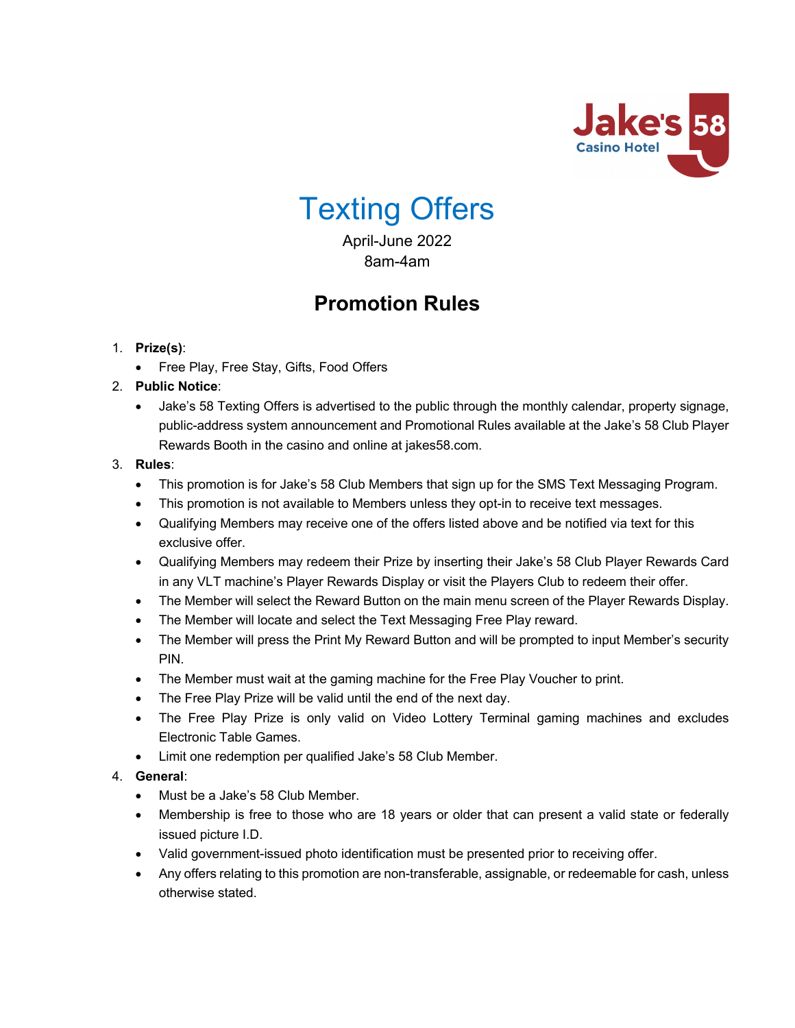

Texting Offers

April-June 2022 8am-4am

# **Promotion Rules**

# 1. **Prize(s)**:

• Free Play, Free Stay, Gifts, Food Offers

# 2. **Public Notice**:

• Jake's 58 Texting Offers is advertised to the public through the monthly calendar, property signage, public-address system announcement and Promotional Rules available at the Jake's 58 Club Player Rewards Booth in the casino and online at jakes58.com.

# 3. **Rules**:

- This promotion is for Jake's 58 Club Members that sign up for the SMS Text Messaging Program.
- This promotion is not available to Members unless they opt-in to receive text messages.
- Qualifying Members may receive one of the offers listed above and be notified via text for this exclusive offer.
- Qualifying Members may redeem their Prize by inserting their Jake's 58 Club Player Rewards Card in any VLT machine's Player Rewards Display or visit the Players Club to redeem their offer.
- The Member will select the Reward Button on the main menu screen of the Player Rewards Display.
- The Member will locate and select the Text Messaging Free Play reward.
- The Member will press the Print My Reward Button and will be prompted to input Member's security PIN.
- The Member must wait at the gaming machine for the Free Play Voucher to print.
- The Free Play Prize will be valid until the end of the next day.
- The Free Play Prize is only valid on Video Lottery Terminal gaming machines and excludes Electronic Table Games.
- Limit one redemption per qualified Jake's 58 Club Member.

# 4. **General**:

- Must be a Jake's 58 Club Member.
- Membership is free to those who are 18 years or older that can present a valid state or federally issued picture I.D.
- Valid government-issued photo identification must be presented prior to receiving offer.
- Any offers relating to this promotion are non-transferable, assignable, or redeemable for cash, unless otherwise stated.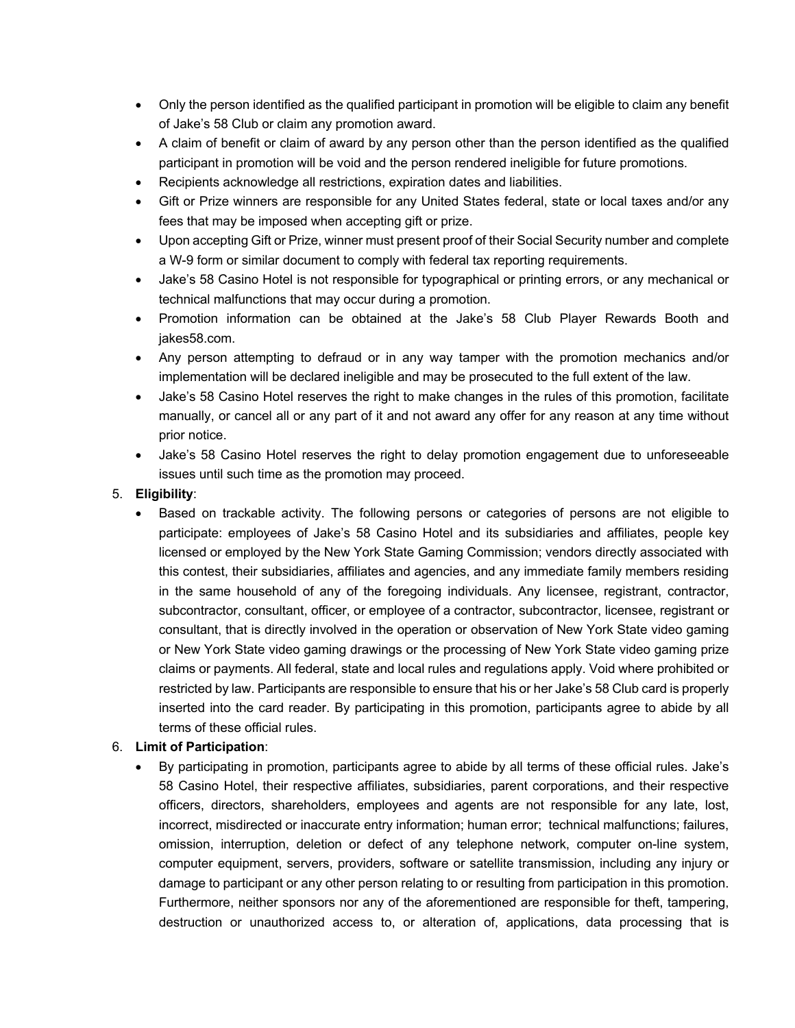- Only the person identified as the qualified participant in promotion will be eligible to claim any benefit of Jake's 58 Club or claim any promotion award.
- A claim of benefit or claim of award by any person other than the person identified as the qualified participant in promotion will be void and the person rendered ineligible for future promotions.
- Recipients acknowledge all restrictions, expiration dates and liabilities.
- Gift or Prize winners are responsible for any United States federal, state or local taxes and/or any fees that may be imposed when accepting gift or prize.
- Upon accepting Gift or Prize, winner must present proof of their Social Security number and complete a W-9 form or similar document to comply with federal tax reporting requirements.
- Jake's 58 Casino Hotel is not responsible for typographical or printing errors, or any mechanical or technical malfunctions that may occur during a promotion.
- Promotion information can be obtained at the Jake's 58 Club Player Rewards Booth and jakes58.com.
- Any person attempting to defraud or in any way tamper with the promotion mechanics and/or implementation will be declared ineligible and may be prosecuted to the full extent of the law.
- Jake's 58 Casino Hotel reserves the right to make changes in the rules of this promotion, facilitate manually, or cancel all or any part of it and not award any offer for any reason at any time without prior notice.
- Jake's 58 Casino Hotel reserves the right to delay promotion engagement due to unforeseeable issues until such time as the promotion may proceed.

#### 5. **Eligibility**:

• Based on trackable activity. The following persons or categories of persons are not eligible to participate: employees of Jake's 58 Casino Hotel and its subsidiaries and affiliates, people key licensed or employed by the New York State Gaming Commission; vendors directly associated with this contest, their subsidiaries, affiliates and agencies, and any immediate family members residing in the same household of any of the foregoing individuals. Any licensee, registrant, contractor, subcontractor, consultant, officer, or employee of a contractor, subcontractor, licensee, registrant or consultant, that is directly involved in the operation or observation of New York State video gaming or New York State video gaming drawings or the processing of New York State video gaming prize claims or payments. All federal, state and local rules and regulations apply. Void where prohibited or restricted by law. Participants are responsible to ensure that his or her Jake's 58 Club card is properly inserted into the card reader. By participating in this promotion, participants agree to abide by all terms of these official rules.

#### 6. **Limit of Participation**:

• By participating in promotion, participants agree to abide by all terms of these official rules. Jake's 58 Casino Hotel, their respective affiliates, subsidiaries, parent corporations, and their respective officers, directors, shareholders, employees and agents are not responsible for any late, lost, incorrect, misdirected or inaccurate entry information; human error; technical malfunctions; failures, omission, interruption, deletion or defect of any telephone network, computer on-line system, computer equipment, servers, providers, software or satellite transmission, including any injury or damage to participant or any other person relating to or resulting from participation in this promotion. Furthermore, neither sponsors nor any of the aforementioned are responsible for theft, tampering, destruction or unauthorized access to, or alteration of, applications, data processing that is